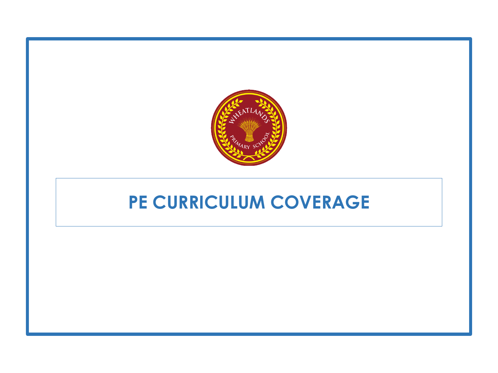

# **PE CURRICULUM COVERAGE**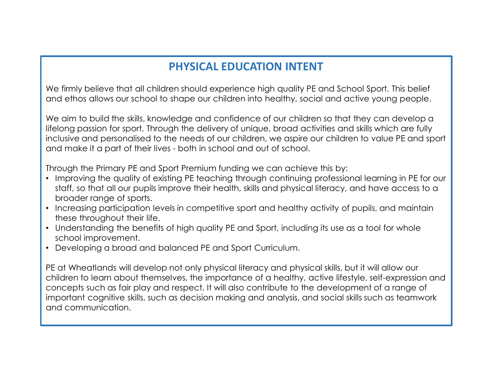#### **PHYSICAL EDUCATION INTENT**

We firmly believe that all children should experience high quality PE and School Sport. This belief and ethos allows our school to shape our children into healthy, social and active young people.

We aim to build the skills, knowledge and confidence of our children so that they can develop a lifelong passion for sport. Through the delivery of unique, broad activities and skills which are fully inclusive and personalised to the needs of our children, we aspire our children to value PE and sport and make it a part of their lives - both in school and out of school.

Through the Primary PE and Sport Premium funding we can achieve this by:

- Improving the quality of existing PE teaching through continuing professional learning in PE for our staff, so that all our pupils improve their health, skills and physical literacy, and have access to a broader range of sports.
- Increasing participation levels in competitive sport and healthy activity of pupils, and maintain these throughout their life.
- Understanding the benefits of high quality PE and Sport, including its use as a tool for whole school improvement.
- Developing a broad and balanced PE and Sport Curriculum.

PE at Wheatlands will develop not only physical literacy and physical skills, but it will allow our children to learn about themselves, the importance of a healthy, active lifestyle, self-expression and concepts such as fair play and respect. It will also contribute to the development of a range of important cognitive skills, such as decision making and analysis, and social skills such as teamwork and communication.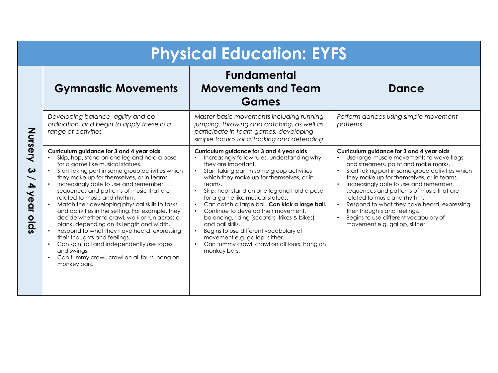|                                                                                                        | <b>Physical Education: EYFS</b>                                                                                                                                                                                                                                                                                                                                                                                                                                                                                                                                                                                                                                                                                                                                    |                                                                                                                                                                                                                                                                                                                                                                                                                                                                                                                                                                                                                                           |                                                                                                                                                                                                                                                                                                                                                                                                                                                                                                                                         |  |
|--------------------------------------------------------------------------------------------------------|--------------------------------------------------------------------------------------------------------------------------------------------------------------------------------------------------------------------------------------------------------------------------------------------------------------------------------------------------------------------------------------------------------------------------------------------------------------------------------------------------------------------------------------------------------------------------------------------------------------------------------------------------------------------------------------------------------------------------------------------------------------------|-------------------------------------------------------------------------------------------------------------------------------------------------------------------------------------------------------------------------------------------------------------------------------------------------------------------------------------------------------------------------------------------------------------------------------------------------------------------------------------------------------------------------------------------------------------------------------------------------------------------------------------------|-----------------------------------------------------------------------------------------------------------------------------------------------------------------------------------------------------------------------------------------------------------------------------------------------------------------------------------------------------------------------------------------------------------------------------------------------------------------------------------------------------------------------------------------|--|
|                                                                                                        | <b>Gymnastic Movements</b>                                                                                                                                                                                                                                                                                                                                                                                                                                                                                                                                                                                                                                                                                                                                         | <b>Fundamental</b><br><b>Movements and Team</b><br>Games                                                                                                                                                                                                                                                                                                                                                                                                                                                                                                                                                                                  | <b>Dance</b>                                                                                                                                                                                                                                                                                                                                                                                                                                                                                                                            |  |
|                                                                                                        | Developing balance, agility and co-<br>ordination, and begin to apply these in a<br>range of activities                                                                                                                                                                                                                                                                                                                                                                                                                                                                                                                                                                                                                                                            | Master basic movements including running,<br>jumping, throwing and catching, as well as<br>participate in team games, developing<br>simple tactics for attacking and defending                                                                                                                                                                                                                                                                                                                                                                                                                                                            | Perform dances using simple movement<br>patterns                                                                                                                                                                                                                                                                                                                                                                                                                                                                                        |  |
| Nursery<br>$\boldsymbol{\omega}$<br>$\bullet$<br>4<br>year olds<br>$\bullet$<br>$\bullet$<br>$\bullet$ | Curriculum guidance for 3 and 4 year olds<br>Skip, hop, stand on one leg and hold a pose<br>for a game like musical statues.<br>Start taking part in some group activities which<br>they make up for themselves, or in teams.<br>Increasingly able to use and remember<br>sequences and patterns of music that are<br>related to music and rhythm.<br>Match their developing physical skills to tasks<br>and activities in the setting. For example, they<br>decide whether to crawl, walk or run across a<br>plank, depending on its length and width.<br>Respond to what they have heard, expressing<br>their thoughts and feelings.<br>Can spin, roll and independently use ropes<br>and swings<br>Can tummy crawl, crawl on all fours, hang on<br>monkey bars. | Curriculum guidance for 3 and 4 year olds<br>Increasingly follow rules, understanding why<br>they are important.<br>Start taking part in some group activities<br>which they make up for themselves, or in<br>teams.<br>Skip, hop, stand on one leg and hold a pose<br>$\bullet$<br>for a game like musical statues.<br>Can catch a large ball. Can kick a large ball.<br>$\bullet$<br>Continue to develop their movement,<br>balancing, riding (scooters, trikes & bikes)<br>and ball skills.<br>Begins to use different vocabulary of<br>movement e.g. gallop, slither.<br>Can tummy crawl, crawl on all fours, hang on<br>monkey bars. | Curriculum guidance for 3 and 4 year olds<br>Use large-muscle movements to wave flags<br>and streamers, paint and make marks.<br>Start taking part in some group activities which<br>$\bullet$<br>they make up for themselves, or in teams.<br>Increasingly able to use and remember<br>sequences and patterns of music that are<br>related to music and rhythm.<br>Respond to what they have heard, expressing<br>$\bullet$<br>their thoughts and feelings.<br>Begins to use different vocabulary of<br>movement e.g. gallop, slither. |  |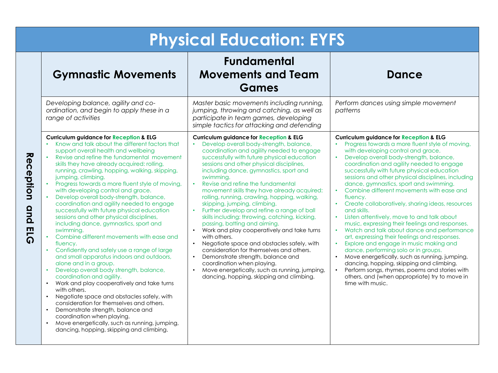| <b>Physical Education: EYFS</b>                                                                                                                                                                                                                                                                                                                                                                                                                                                                                                                                                                                                                                                                                                                                                                                                                                                                                                                                                                                                                                                                                                                                                                                                                                                                                                       |                                                                                                                                                                                                                                                                                                                                                                                                                                                                                                                                                                                                                                                                                                                                                                                                                                                                                                                                                                  |                                                                                                                                                                                                                                                                                                                                                                                                                                                                                                                                                                                                                                                                                                                                                                                                                                                                                                                                                                                                                                        |
|---------------------------------------------------------------------------------------------------------------------------------------------------------------------------------------------------------------------------------------------------------------------------------------------------------------------------------------------------------------------------------------------------------------------------------------------------------------------------------------------------------------------------------------------------------------------------------------------------------------------------------------------------------------------------------------------------------------------------------------------------------------------------------------------------------------------------------------------------------------------------------------------------------------------------------------------------------------------------------------------------------------------------------------------------------------------------------------------------------------------------------------------------------------------------------------------------------------------------------------------------------------------------------------------------------------------------------------|------------------------------------------------------------------------------------------------------------------------------------------------------------------------------------------------------------------------------------------------------------------------------------------------------------------------------------------------------------------------------------------------------------------------------------------------------------------------------------------------------------------------------------------------------------------------------------------------------------------------------------------------------------------------------------------------------------------------------------------------------------------------------------------------------------------------------------------------------------------------------------------------------------------------------------------------------------------|----------------------------------------------------------------------------------------------------------------------------------------------------------------------------------------------------------------------------------------------------------------------------------------------------------------------------------------------------------------------------------------------------------------------------------------------------------------------------------------------------------------------------------------------------------------------------------------------------------------------------------------------------------------------------------------------------------------------------------------------------------------------------------------------------------------------------------------------------------------------------------------------------------------------------------------------------------------------------------------------------------------------------------------|
| <b>Gymnastic Movements</b>                                                                                                                                                                                                                                                                                                                                                                                                                                                                                                                                                                                                                                                                                                                                                                                                                                                                                                                                                                                                                                                                                                                                                                                                                                                                                                            | <b>Fundamental</b><br><b>Movements and Team</b><br>Games                                                                                                                                                                                                                                                                                                                                                                                                                                                                                                                                                                                                                                                                                                                                                                                                                                                                                                         | <b>Dance</b>                                                                                                                                                                                                                                                                                                                                                                                                                                                                                                                                                                                                                                                                                                                                                                                                                                                                                                                                                                                                                           |
| Developing balance, agility and co-<br>ordination, and begin to apply these in a<br>range of activities                                                                                                                                                                                                                                                                                                                                                                                                                                                                                                                                                                                                                                                                                                                                                                                                                                                                                                                                                                                                                                                                                                                                                                                                                               | Master basic movements including running,<br>jumping, throwing and catching, as well as<br>participate in team games, developing<br>simple tactics for attacking and defending                                                                                                                                                                                                                                                                                                                                                                                                                                                                                                                                                                                                                                                                                                                                                                                   | Perform dances using simple movement<br>patterns                                                                                                                                                                                                                                                                                                                                                                                                                                                                                                                                                                                                                                                                                                                                                                                                                                                                                                                                                                                       |
| <b>Curriculum guidance for Reception &amp; ELG</b><br>Know and talk about the different factors that<br>support overall health and wellbeing<br><b>Reception</b><br>Revise and refine the fundamental movement<br>skills they have already acquired: rolling,<br>running, crawling, hopping, walking, skipping,<br>jumping, climbing.<br>Progress towards a more fluent style of moving,<br>with developing control and grace.<br>Develop overall body-strength, balance,<br>coordination and agility needed to engage<br>ond<br>successfully with future physical education<br>sessions and other physical disciplines,<br>including dance, gymnastics, sport and<br>51G<br>swimming.<br>Combine different movements with ease and<br>fluency.<br>Confidently and safely use a range of large<br>and small apparatus indoors and outdoors,<br>alone and in a group.<br>Develop overall body strength, balance,<br>$\bullet$<br>coordination and agility.<br>Work and play cooperatively and take turns<br>$\bullet$<br>with others.<br>Negotiate space and obstacles safely, with<br>$\bullet$<br>consideration for themselves and others.<br>Demonstrate strength, balance and<br>$\bullet$<br>coordination when playing.<br>Move energetically, such as running, jumping,<br>$\bullet$<br>dancing, hopping, skipping and climbing. | <b>Curriculum guidance for Reception &amp; ELG</b><br>Develop overall body-strength, balance,<br>coordination and agility needed to engage<br>successfully with future physical education<br>sessions and other physical disciplines,<br>including dance, gymnastics, sport and<br>swimmina.<br>$\bullet$<br>Revise and refine the fundamental<br>movement skills they have already acquired:<br>rolling, running, crawling, hopping, walking,<br>skipping, jumping, climbing.<br>Further develop and refine a range of ball<br>skills including: throwing, catching, kicking,<br>passing, batting and aiming.<br>Work and play cooperatively and take turns<br>with others.<br>Negotiate space and obstacles safely, with<br>$\bullet$<br>consideration for themselves and others.<br>Demonstrate strength, balance and<br>coordination when playing.<br>Move energetically, such as running, jumping,<br>$\bullet$<br>dancing, hopping, skipping and climbing. | <b>Curriculum guidance for Reception &amp; ELG</b><br>Progress towards a more fluent style of moving,<br>with developing control and grace.<br>Develop overall body-strength, balance,<br>coordination and agility needed to engage<br>successfully with future physical education<br>sessions and other physical disciplines, including<br>dance, gymnastics, sport and swimming.<br>Combine different movements with ease and<br>fluency.<br>• Create collaboratively, sharing ideas, resources<br>and skills.<br>• Listen attentively, move to and talk about<br>music, expressing their feelings and responses.<br>• Watch and talk about dance and performance<br>art, expressing their feelings and responses.<br>Explore and engage in music making and<br>$\bullet$<br>dance, performing solo or in groups.<br>Move energetically, such as running, jumping,<br>dancing, hopping, skipping and climbing.<br>Perform songs, rhymes, poems and stories with<br>others, and (when appropriate) try to move in<br>time with music. |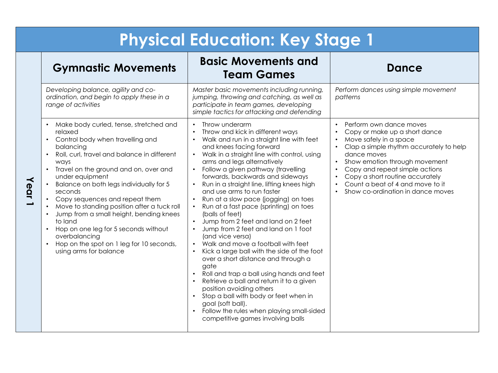|      | <b>Physical Education: Key Stage 1</b>                                                                                                                                                                                                                                                                                                                                                                                                                                                                                                                                                                             |                                                                                                                                                                                                                                                                                                                                                                                                                                                                                                                                                                                                                                                                                                                                                                                                                                                                                                                                                                                                                                                  |                                                                                                                                                                                                                                                                                                                             |  |
|------|--------------------------------------------------------------------------------------------------------------------------------------------------------------------------------------------------------------------------------------------------------------------------------------------------------------------------------------------------------------------------------------------------------------------------------------------------------------------------------------------------------------------------------------------------------------------------------------------------------------------|--------------------------------------------------------------------------------------------------------------------------------------------------------------------------------------------------------------------------------------------------------------------------------------------------------------------------------------------------------------------------------------------------------------------------------------------------------------------------------------------------------------------------------------------------------------------------------------------------------------------------------------------------------------------------------------------------------------------------------------------------------------------------------------------------------------------------------------------------------------------------------------------------------------------------------------------------------------------------------------------------------------------------------------------------|-----------------------------------------------------------------------------------------------------------------------------------------------------------------------------------------------------------------------------------------------------------------------------------------------------------------------------|--|
|      | <b>Gymnastic Movements</b>                                                                                                                                                                                                                                                                                                                                                                                                                                                                                                                                                                                         | <b>Basic Movements and</b><br><b>Team Games</b>                                                                                                                                                                                                                                                                                                                                                                                                                                                                                                                                                                                                                                                                                                                                                                                                                                                                                                                                                                                                  | <b>Dance</b>                                                                                                                                                                                                                                                                                                                |  |
|      | Developing balance, agility and co-<br>ordination, and begin to apply these in a<br>range of activities                                                                                                                                                                                                                                                                                                                                                                                                                                                                                                            | Master basic movements including running,<br>jumping, throwing and catching, as well as<br>participate in team games, developing<br>simple tactics for attacking and defending                                                                                                                                                                                                                                                                                                                                                                                                                                                                                                                                                                                                                                                                                                                                                                                                                                                                   | Perform dances using simple movement<br>patterns                                                                                                                                                                                                                                                                            |  |
| Year | Make body curled, tense, stretched and<br>relaxed<br>Control body when travelling and<br>$\bullet$<br>balancing<br>Roll, curl, travel and balance in different<br>$\bullet$<br>ways<br>Travel on the ground and on, over and<br>$\bullet$<br>under equipment<br>Balance on both legs individually for 5<br>seconds<br>Copy sequences and repeat them<br>$\bullet$<br>Move to standing position after a tuck roll<br>Jump from a small height, bending knees<br>to land<br>Hop on one leg for 5 seconds without<br>$\bullet$<br>overbalancing<br>Hop on the spot on 1 leg for 10 seconds,<br>using arms for balance | Throw underarm<br>Throw and kick in different ways<br>$\bullet$<br>Walk and run in a straight line with feet<br>and knees facing forward<br>Walk in a straight line with control, using<br>$\bullet$<br>arms and legs alternatively<br>Follow a given pathway (travelling<br>$\bullet$<br>forwards, backwards and sideways<br>Run in a straight line, lifting knees high<br>and use arms to run faster<br>Run at a slow pace (jogging) on toes<br>Run at a fast pace (sprinting) on toes<br>(balls of feet)<br>Jump from 2 feet and land on 2 feet<br>Jump from 2 feet and land on 1 foot<br>$\bullet$<br>(and vice versa)<br>Walk and move a football with feet<br>Kick a large ball with the side of the foot<br>over a short distance and through a<br>gate<br>Roll and trap a ball using hands and feet<br>$\bullet$<br>Retrieve a ball and return it to a given<br>position avoiding others<br>Stop a ball with body or feet when in<br>goal (soft ball).<br>Follow the rules when playing small-sided<br>competitive games involving balls | Perform own dance moves<br>Copy or make up a short dance<br>Move safely in a space<br>Clap a simple rhythm accurately to help<br>dance moves<br>Show emotion through movement<br>Copy and repeat simple actions<br>Copy a short routine accurately<br>Count a beat of 4 and move to it<br>Show co-ordination in dance moves |  |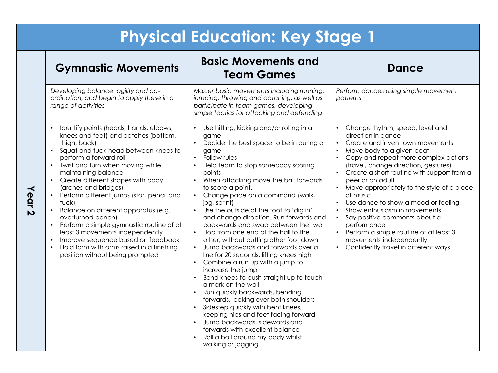| <b>Gymnastic Movements</b>                                                                                                                                                                                                                                                                                                                                                                                                                                                                                                                                                                                                                              | <b>Basic Movements and</b><br><b>Team Games</b>                                                                                                                                                                                                                                                                                                                                                                                                                                                                                                                                                                                                                                                                                                                                                                                                                                                                                                                                                                                                                                                                        | Dance                                                                                                                                                                                                                                                                                                                                                                                                                                                                                                                                                                                                                                    |
|---------------------------------------------------------------------------------------------------------------------------------------------------------------------------------------------------------------------------------------------------------------------------------------------------------------------------------------------------------------------------------------------------------------------------------------------------------------------------------------------------------------------------------------------------------------------------------------------------------------------------------------------------------|------------------------------------------------------------------------------------------------------------------------------------------------------------------------------------------------------------------------------------------------------------------------------------------------------------------------------------------------------------------------------------------------------------------------------------------------------------------------------------------------------------------------------------------------------------------------------------------------------------------------------------------------------------------------------------------------------------------------------------------------------------------------------------------------------------------------------------------------------------------------------------------------------------------------------------------------------------------------------------------------------------------------------------------------------------------------------------------------------------------------|------------------------------------------------------------------------------------------------------------------------------------------------------------------------------------------------------------------------------------------------------------------------------------------------------------------------------------------------------------------------------------------------------------------------------------------------------------------------------------------------------------------------------------------------------------------------------------------------------------------------------------------|
| Developing balance, agility and co-<br>ordination, and begin to apply these in a<br>range of activities                                                                                                                                                                                                                                                                                                                                                                                                                                                                                                                                                 | Master basic movements including running,<br>jumping, throwing and catching, as well as<br>participate in team games, developing<br>simple tactics for attacking and defending                                                                                                                                                                                                                                                                                                                                                                                                                                                                                                                                                                                                                                                                                                                                                                                                                                                                                                                                         | Perform dances using simple movement<br>patterns                                                                                                                                                                                                                                                                                                                                                                                                                                                                                                                                                                                         |
| Identify points (heads, hands, elbows,<br>$\bullet$<br>knees and feet) and patches (bottom,<br>thigh, back)<br>Squat and tuck head between knees to<br>perform a forward roll<br>Twist and turn when moving while<br>maintaining balance<br>Create different shapes with body<br>(arches and bridges)<br>Perform different jumps (star, pencil and<br>tuck)<br>Balance on different apparatus (e.g.<br>$\bullet$<br>overturned bench)<br>Perform a simple gymnastic routine of at<br>$\bullet$<br>least 3 movements independently<br>Improve sequence based on feedback<br>Hold form with arms raised in a finishing<br>position without being prompted | Use hitting, kicking and/or rolling in a<br>$\bullet$<br>game<br>Decide the best space to be in during a<br>$\bullet$<br>game<br>Follow rules<br>$\bullet$<br>Help team to stop somebody scoring<br>points<br>When attacking move the ball forwards<br>$\bullet$<br>to score a point.<br>Change pace on a command (walk,<br>$\bullet$<br>jog, sprint)<br>Use the outside of the foot to 'dig in'<br>$\bullet$<br>and change direction. Run forwards and<br>backwards and swap between the two<br>Hop from one end of the hall to the<br>$\bullet$<br>other, without putting other foot down<br>Jump backwards and forwards over a<br>line for 20 seconds, lifting knees high<br>Combine a run up with a jump to<br>increase the jump<br>Bend knees to push straight up to touch<br>$\bullet$<br>a mark on the wall<br>Run quickly backwards, bending<br>forwards, looking over both shoulders<br>Sidestep quickly with bent knees,<br>keeping hips and feet facing forward<br>Jump backwards, sidewards and<br>$\bullet$<br>forwards with excellent balance<br>Roll a ball around my body whilst<br>walking or jogging | Change rhythm, speed, level and<br>$\bullet$<br>direction in dance<br>Create and invent own movements<br>$\bullet$<br>Move body to a given beat<br>Copy and repeat more complex actions<br>(travel, change direction, gestures)<br>Create a short routine with support from a<br>peer or an adult<br>• Move appropriately to the style of a piece<br>of music<br>Use dance to show a mood or feeling<br>Show enthusiasm in movements<br>$\bullet$<br>Say positive comments about a<br>$\bullet$<br>performance<br>Perform a simple routine of at least 3<br>$\bullet$<br>movements independently<br>Confidently travel in different ways |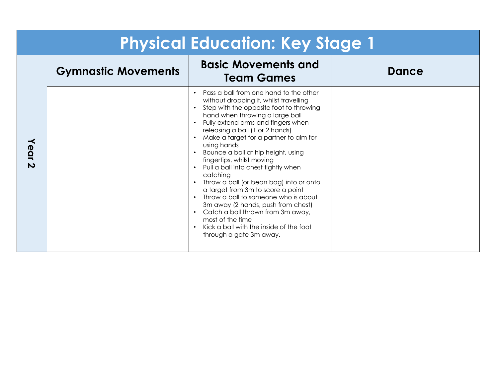| <b>Physical Education: Key Stage 1</b> |                            |                                                                                                                                                                                                                                                                                                                                                                                                                                                                                                                                                                                                                                                                                                                                                            |       |
|----------------------------------------|----------------------------|------------------------------------------------------------------------------------------------------------------------------------------------------------------------------------------------------------------------------------------------------------------------------------------------------------------------------------------------------------------------------------------------------------------------------------------------------------------------------------------------------------------------------------------------------------------------------------------------------------------------------------------------------------------------------------------------------------------------------------------------------------|-------|
|                                        | <b>Gymnastic Movements</b> | <b>Basic Movements and</b><br><b>Team Games</b>                                                                                                                                                                                                                                                                                                                                                                                                                                                                                                                                                                                                                                                                                                            | Dance |
| Year<br>N                              |                            | Pass a ball from one hand to the other<br>$\bullet$<br>without dropping it, whilst travelling<br>Step with the opposite foot to throwing<br>$\bullet$<br>hand when throwing a large ball<br>Fully extend arms and fingers when<br>$\bullet$<br>releasing a ball (1 or 2 hands)<br>Make a target for a partner to aim for<br>using hands<br>Bounce a ball at hip height, using<br>fingertips, whilst moving<br>Pull a ball into chest tightly when<br>catching<br>Throw a ball (or bean bag) into or onto<br>a target from 3m to score a point<br>Throw a ball to someone who is about<br>3m away (2 hands, push from chest)<br>Catch a ball thrown from 3m away,<br>most of the time<br>Kick a ball with the inside of the foot<br>through a gate 3m away. |       |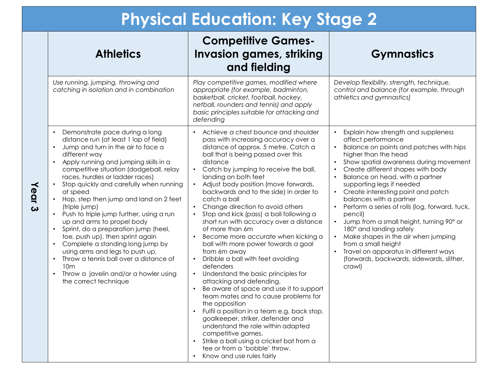|  | <b>Physical Education: Key Stage 2</b> |  |
|--|----------------------------------------|--|
|  |                                        |  |

| <b>Athletics</b>                                                                                                                                                                                                                                                                                                                                                                                                                                                                                                                                                                                                                                                                                                                                                                         | <b>Competitive Games-</b><br><b>Invasion games, striking</b><br>and fielding                                                                                                                                                                                                                                                                                                                                                                                                                                                                                                                                                                                                                                                                                                                                                                                                                                                                                                                                                                                                                                    | <b>Gymnastics</b>                                                                                                                                                                                                                                                                                                                                                                                                                                                                                                                                                                                                                                                        |
|------------------------------------------------------------------------------------------------------------------------------------------------------------------------------------------------------------------------------------------------------------------------------------------------------------------------------------------------------------------------------------------------------------------------------------------------------------------------------------------------------------------------------------------------------------------------------------------------------------------------------------------------------------------------------------------------------------------------------------------------------------------------------------------|-----------------------------------------------------------------------------------------------------------------------------------------------------------------------------------------------------------------------------------------------------------------------------------------------------------------------------------------------------------------------------------------------------------------------------------------------------------------------------------------------------------------------------------------------------------------------------------------------------------------------------------------------------------------------------------------------------------------------------------------------------------------------------------------------------------------------------------------------------------------------------------------------------------------------------------------------------------------------------------------------------------------------------------------------------------------------------------------------------------------|--------------------------------------------------------------------------------------------------------------------------------------------------------------------------------------------------------------------------------------------------------------------------------------------------------------------------------------------------------------------------------------------------------------------------------------------------------------------------------------------------------------------------------------------------------------------------------------------------------------------------------------------------------------------------|
| Use running, jumping, throwing and<br>catching in isolation and in combination                                                                                                                                                                                                                                                                                                                                                                                                                                                                                                                                                                                                                                                                                                           | Play competitive games, modified where<br>appropriate (for example, badminton,<br>basketball, cricket, football, hockey,<br>netball, rounders and tennis) and apply<br>basic principles suitable for attacking and<br>defending                                                                                                                                                                                                                                                                                                                                                                                                                                                                                                                                                                                                                                                                                                                                                                                                                                                                                 | Develop flexibility, strength, technique,<br>control and balance (for example, through<br>athletics and gymnastics)                                                                                                                                                                                                                                                                                                                                                                                                                                                                                                                                                      |
| Demonstrate pace during a long<br>distance run (at least 1 lap of field)<br>Jump and turn in the air to face a<br>$\bullet$<br>different way<br>Apply running and jumping skills in a<br>$\bullet$<br>competitive situation (dodgeball, relay<br>races, hurdles or ladder races)<br>Stop quickly and carefully when running<br>$\bullet$<br>at speed<br>Hop, step then jump and land on 2 feet<br>(triple jump)<br>Push to triple jump further, using a run<br>up and arms to propel body<br>Sprint, do a preparation jump (heel,<br>toe, push up), then sprint again<br>Complete a standing long jump by<br>using arms and legs to push up.<br>Throw a tennis ball over a distance of<br>$\bullet$<br>10 <sub>m</sub><br>Throw a javelin and/or a howler using<br>the correct technique | Achieve a chest bounce and shoulder<br>pass with increasing accuracy over a<br>distance of approx. 5 metre. Catch a<br>ball that is being passed over this<br>distance<br>Catch by jumping to receive the ball,<br>landing on both feet<br>Adjust body position (move forwards,<br>$\bullet$<br>backwards and to the side) in order to<br>catch a ball<br>Change direction to avoid others<br>Stop and kick (pass) a ball following a<br>$\bullet$<br>short run with accuracy over a distance<br>of more than 6m<br>Become more accurate when kicking a<br>ball with more power towards a goal<br>from 6m away<br>Dribble a ball with feet avoiding<br>defenders<br>Understand the basic principles for<br>$\bullet$<br>attacking and defending.<br>Be aware of space and use it to support<br>team mates and to cause problems for<br>the opposition<br>Fulfil a position in a team e.g. back stop,<br>goalkeeper, striker, defender and<br>understand the role within adapted<br>competitive games.<br>Strike a ball using a cricket bat from a<br>tee or from a 'bobble' throw.<br>Know and use rules fairly | Explain how strength and suppleness<br>affect performance<br>Balance on points and patches with hips<br>higher than the head<br>Show spatial awareness during movement<br>Create different shapes with body<br>$\bullet$<br>Balance on head, with a partner<br>supporting legs if needed<br>Create interesting point and patch<br>balances with a partner<br>Perform a series of rolls (log, forward, tuck,<br>pencil)<br>Jump from a small height, turning 90° or<br>$\bullet$<br>180° and landing safely<br>Make shapes in the air when jumping<br>from a small height<br>Travel on apparatus in different ways<br>(forwards, backwards, sidewards, slither,<br>crawl) |

**Year 3**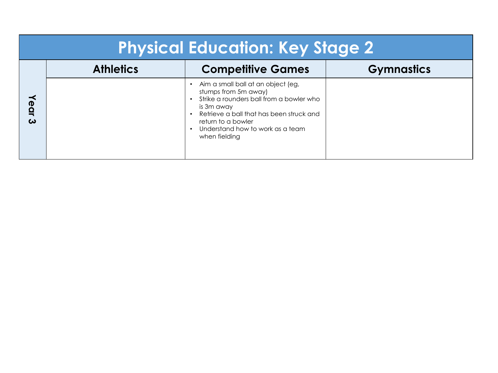| <b>Physical Education: Key Stage 2</b> |                  |                                                                                                                                                                                                                                                          |                   |
|----------------------------------------|------------------|----------------------------------------------------------------------------------------------------------------------------------------------------------------------------------------------------------------------------------------------------------|-------------------|
|                                        | <b>Athletics</b> | <b>Competitive Games</b>                                                                                                                                                                                                                                 | <b>Gymnastics</b> |
| Year<br>ω                              |                  | Aim a small ball at an object (eg,<br>stumps from 5m away)<br>Strike a rounders ball from a bowler who<br>is 3m away<br>Retrieve a ball that has been struck and<br>return to a bowler<br>Understand how to work as a team<br>$\bullet$<br>when fielding |                   |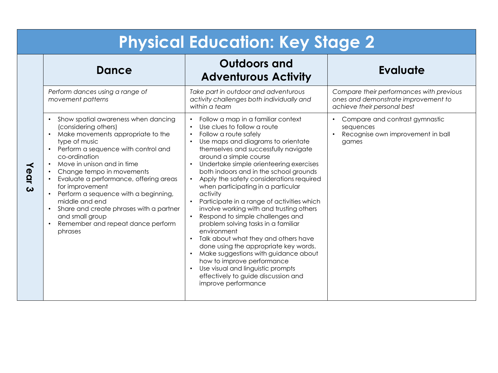|                               | <b>Physical Education: Key Stage 2</b>                                                                                                                                                                                                                                                                                                                                                                                                                                                 |                                                                                                                                                                                                                                                                                                                                                                                                                                                                                                                                                                                                                                                                                                                                                                                                                                                                                                                                             |                                                                                                                |  |
|-------------------------------|----------------------------------------------------------------------------------------------------------------------------------------------------------------------------------------------------------------------------------------------------------------------------------------------------------------------------------------------------------------------------------------------------------------------------------------------------------------------------------------|---------------------------------------------------------------------------------------------------------------------------------------------------------------------------------------------------------------------------------------------------------------------------------------------------------------------------------------------------------------------------------------------------------------------------------------------------------------------------------------------------------------------------------------------------------------------------------------------------------------------------------------------------------------------------------------------------------------------------------------------------------------------------------------------------------------------------------------------------------------------------------------------------------------------------------------------|----------------------------------------------------------------------------------------------------------------|--|
|                               | <b>Dance</b>                                                                                                                                                                                                                                                                                                                                                                                                                                                                           | <b>Outdoors and</b><br><b>Adventurous Activity</b>                                                                                                                                                                                                                                                                                                                                                                                                                                                                                                                                                                                                                                                                                                                                                                                                                                                                                          | <b>Evaluate</b>                                                                                                |  |
|                               | Perform dances using a range of<br>movement patterns                                                                                                                                                                                                                                                                                                                                                                                                                                   | Take part in outdoor and adventurous<br>activity challenges both individually and<br>within a team                                                                                                                                                                                                                                                                                                                                                                                                                                                                                                                                                                                                                                                                                                                                                                                                                                          | Compare their performances with previous<br>ones and demonstrate improvement to<br>achieve their personal best |  |
| Year<br>$\boldsymbol{\omega}$ | Show spatial awareness when dancing<br>(considering others)<br>Make movements appropriate to the<br>type of music<br>Perform a sequence with control and<br>co-ordination<br>Move in unison and in time<br>Change tempo in movements<br>Evaluate a performance, offering areas<br>for improvement<br>Perform a sequence with a beginning,<br>middle and end<br>Share and create phrases with a partner<br>$\bullet$<br>and small group<br>Remember and repeat dance perform<br>phrases | Follow a map in a familiar context<br>$\bullet$<br>Use clues to follow a route<br>$\bullet$<br>Follow a route safely<br>$\bullet$<br>Use maps and diagrams to orientate<br>themselves and successfully navigate<br>around a simple course<br>Undertake simple orienteering exercises<br>$\bullet$<br>both indoors and in the school grounds<br>Apply the safety considerations required<br>$\bullet$<br>when participating in a particular<br>activity<br>Participate in a range of activities which<br>involve working with and trusting others<br>Respond to simple challenges and<br>problem solving tasks in a familiar<br>environment<br>Talk about what they and others have<br>$\bullet$<br>done using the appropriate key words.<br>Make suggestions with guidance about<br>$\bullet$<br>how to improve performance<br>Use visual and linguistic prompts<br>$\bullet$<br>effectively to guide discussion and<br>improve performance | Compare and contrast gymnastic<br>sequences<br>Recognise own improvement in ball<br>games                      |  |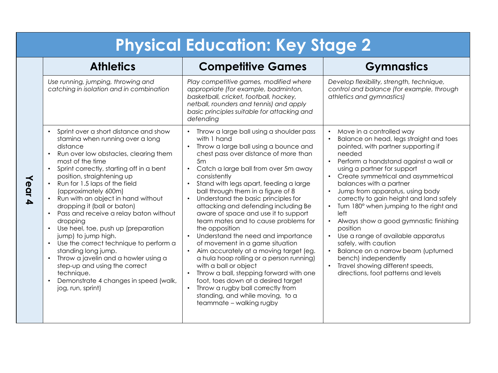|      | <b>Physical Education: Key Stage 2</b>                                                                                                                                                                                                                                                                                                                                                                                                                                                                                                                                                                                                                                                                                         |                                                                                                                                                                                                                                                                                                                                                                                                                                                                                                                                                                                                                                                                                                                                                                                                                                                                                       |                                                                                                                                                                                                                                                                                                                                                                                                                                                                                                                                                                                                                                                                                                       |  |
|------|--------------------------------------------------------------------------------------------------------------------------------------------------------------------------------------------------------------------------------------------------------------------------------------------------------------------------------------------------------------------------------------------------------------------------------------------------------------------------------------------------------------------------------------------------------------------------------------------------------------------------------------------------------------------------------------------------------------------------------|---------------------------------------------------------------------------------------------------------------------------------------------------------------------------------------------------------------------------------------------------------------------------------------------------------------------------------------------------------------------------------------------------------------------------------------------------------------------------------------------------------------------------------------------------------------------------------------------------------------------------------------------------------------------------------------------------------------------------------------------------------------------------------------------------------------------------------------------------------------------------------------|-------------------------------------------------------------------------------------------------------------------------------------------------------------------------------------------------------------------------------------------------------------------------------------------------------------------------------------------------------------------------------------------------------------------------------------------------------------------------------------------------------------------------------------------------------------------------------------------------------------------------------------------------------------------------------------------------------|--|
|      | <b>Athletics</b>                                                                                                                                                                                                                                                                                                                                                                                                                                                                                                                                                                                                                                                                                                               | <b>Competitive Games</b>                                                                                                                                                                                                                                                                                                                                                                                                                                                                                                                                                                                                                                                                                                                                                                                                                                                              | <b>Gymnastics</b>                                                                                                                                                                                                                                                                                                                                                                                                                                                                                                                                                                                                                                                                                     |  |
|      | Use running, jumping, throwing and<br>catching in isolation and in combination                                                                                                                                                                                                                                                                                                                                                                                                                                                                                                                                                                                                                                                 | Play competitive games, modified where<br>appropriate (for example, badminton,<br>basketball, cricket, football, hockey,<br>netball, rounders and tennis) and apply<br>basic principles suitable for attacking and<br>defending                                                                                                                                                                                                                                                                                                                                                                                                                                                                                                                                                                                                                                                       | Develop flexibility, strength, technique,<br>control and balance (for example, through<br>athletics and gymnastics)                                                                                                                                                                                                                                                                                                                                                                                                                                                                                                                                                                                   |  |
| Year | Sprint over a short distance and show<br>stamina when running over a long<br>distance<br>Run over low obstacles, clearing them<br>$\bullet$<br>most of the time<br>Sprint correctly, starting off in a bent<br>$\bullet$<br>position, straightening up<br>Run for 1.5 laps of the field<br>(approximately 600m)<br>Run with an object in hand without<br>dropping it (ball or baton)<br>Pass and receive a relay baton without<br>dropping<br>Use heel, toe, push up (preparation<br>jump) to jump high.<br>Use the correct technique to perform a<br>standing long jump.<br>Throw a javelin and a howler using a<br>step-up and using the correct<br>technique.<br>Demonstrate 4 changes in speed (walk,<br>jog, run, sprint) | • Throw a large ball using a shoulder pass<br>with 1 hand<br>Throw a large ball using a bounce and<br>chest pass over distance of more than<br>5m<br>Catch a large ball from over 5m away<br>consistently<br>Stand with legs apart, feeding a large<br>$\bullet$<br>ball through them in a figure of 8<br>Understand the basic principles for<br>$\bullet$<br>attacking and defending including Be<br>aware of space and use it to support<br>team mates and to cause problems for<br>the opposition<br>Understand the need and importance<br>of movement in a game situation<br>Aim accurately at a moving target (eg.<br>a hula hoop rolling or a person running)<br>with a ball or object<br>Throw a ball, stepping forward with one<br>foot, toes down at a desired target<br>• Throw a rugby ball correctly from<br>standing, and while moving, to a<br>teammate - walking rugby | Move in a controlled way<br>Balance on head, legs straight and toes<br>pointed, with partner supporting if<br>needed<br>Perform a handstand against a wall or<br>$\bullet$<br>using a partner for support<br>Create symmetrical and asymmetrical<br>balances with a partner<br>Jump from apparatus, using body<br>correctly to gain height and land safely<br>Turn 180° when jumping to the right and<br>left<br>Always show a good gymnastic finishing<br>$\bullet$<br>position<br>Use a range of available apparatus<br>safely, with caution<br>Balance on a narrow beam (upturned<br>bench) independently<br>Travel showing different speeds,<br>$\bullet$<br>directions, foot patterns and levels |  |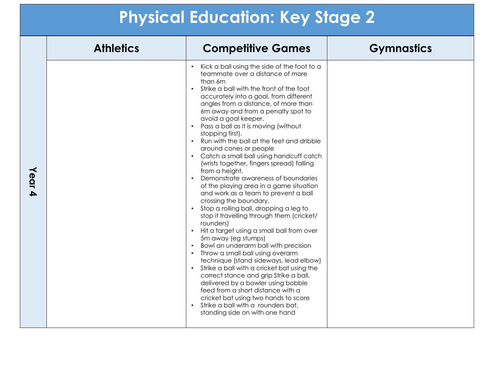|        | <b>Athletics</b> | <b>Competitive Games</b>                                                                                                                                                                                                                                                                                                                                                                                                                                                                                                                                                                                                                                                                                                                                                                                                                                                                                                                                                                                                                                                                                                                                                                                                                                                                                                                  | <b>Gymnastics</b> |
|--------|------------------|-------------------------------------------------------------------------------------------------------------------------------------------------------------------------------------------------------------------------------------------------------------------------------------------------------------------------------------------------------------------------------------------------------------------------------------------------------------------------------------------------------------------------------------------------------------------------------------------------------------------------------------------------------------------------------------------------------------------------------------------------------------------------------------------------------------------------------------------------------------------------------------------------------------------------------------------------------------------------------------------------------------------------------------------------------------------------------------------------------------------------------------------------------------------------------------------------------------------------------------------------------------------------------------------------------------------------------------------|-------------------|
| Year 4 |                  | Kick a ball using the side of the foot to a<br>teammate over a distance of more<br>than 6m<br>Strike a ball with the front of the foot<br>$\bullet$<br>accurately into a goal, from different<br>angles from a distance, of more than<br>6m away and from a penalty spot to<br>avoid a goal keeper.<br>Pass a ball as it is moving (without<br>stopping first).<br>Run with the ball at the feet and dribble<br>$\bullet$<br>around cones or people<br>Catch a small ball using handcuff catch<br>$\bullet$<br>(wrists together, fingers spread) falling<br>from a height.<br>Demonstrate awareness of boundaries<br>of the playing area in a game situation<br>and work as a team to prevent a ball<br>crossing the boundary.<br>Stop a rolling ball, dropping a leg to<br>$\bullet$<br>stop it travelling through them (cricket/<br>rounders)<br>Hit a target using a small ball from over<br>5m away (eg stumps)<br>Bowl an underarm ball with precision<br>Throw a small ball using overarm<br>technique (stand sideways, lead elbow)<br>Strike a ball with a cricket bat using the<br>$\bullet$<br>correct stance and grip Strike a ball,<br>delivered by a bowler using bobble<br>feed from a short distance with a<br>cricket bat using two hands to score<br>Strike a ball with a rounders bat,<br>standing side on with one hand |                   |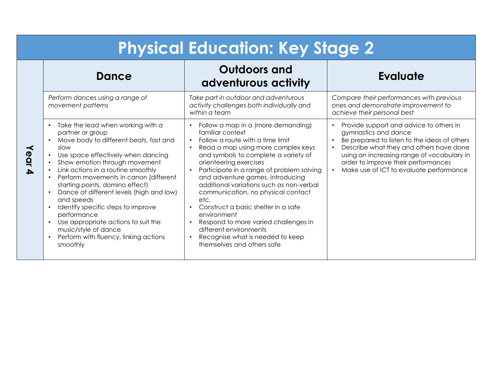|      | <b>Physical Education: Key Stage 2</b>                                                                                                                                                                                                                                                                                                                                                                                                                                                                                                           |                                                                                                                                                                                                                                                                                                                                                                                                                                                                                                                                                                                                                             |                                                                                                                                                                                                                                                                                                         |  |
|------|--------------------------------------------------------------------------------------------------------------------------------------------------------------------------------------------------------------------------------------------------------------------------------------------------------------------------------------------------------------------------------------------------------------------------------------------------------------------------------------------------------------------------------------------------|-----------------------------------------------------------------------------------------------------------------------------------------------------------------------------------------------------------------------------------------------------------------------------------------------------------------------------------------------------------------------------------------------------------------------------------------------------------------------------------------------------------------------------------------------------------------------------------------------------------------------------|---------------------------------------------------------------------------------------------------------------------------------------------------------------------------------------------------------------------------------------------------------------------------------------------------------|--|
|      | <b>Dance</b>                                                                                                                                                                                                                                                                                                                                                                                                                                                                                                                                     | <b>Outdoors and</b><br>adventurous activity                                                                                                                                                                                                                                                                                                                                                                                                                                                                                                                                                                                 | <b>Evaluate</b>                                                                                                                                                                                                                                                                                         |  |
|      | Perform dances using a range of<br>movement patterns                                                                                                                                                                                                                                                                                                                                                                                                                                                                                             | Take part in outdoor and adventurous<br>activity challenges both individually and<br>within a team                                                                                                                                                                                                                                                                                                                                                                                                                                                                                                                          | Compare their performances with previous<br>ones and demonstrate improvement to<br>achieve their personal best                                                                                                                                                                                          |  |
| Year | Take the lead when working with a<br>partner or group<br>Move body to different beats, fast and<br>slow<br>Use space effectively when dancing<br>Show emotion through movement<br>Link actions in a routine smoothly<br>Perform movements in canon (different<br>starting points, domino effect)<br>Dance at different levels (high and low)<br>and speeds<br>Identify specific steps to improve<br>performance<br>Use appropriate actions to suit the<br>music/style of dance<br>Perform with fluency, linking actions<br>$\bullet$<br>smoothly | Follow a map in a (more demanding)<br>familiar context<br>Follow a route with a time limit<br>$\bullet$<br>Read a map using more complex keys<br>$\bullet$<br>and symbols to complete a variety of<br>orienteering exercises<br>Participate in a range of problem solving<br>and adventure games, introducing<br>additional variations such as non-verbal<br>communication, no physical contact<br>etc.<br>Construct a basic shelter in a safe<br>$\bullet$<br>environment<br>Respond to more varied challenges in<br>different environments<br>Recognise what is needed to keep<br>$\bullet$<br>themselves and others safe | Provide support and advice to others in<br>$\bullet$<br>gymnastics and dance<br>Be prepared to listen to the ideas of others<br>Describe what they and others have done<br>using an increasing range of vocabulary in<br>order to improve their performances<br>Make use of ICT to evaluate performance |  |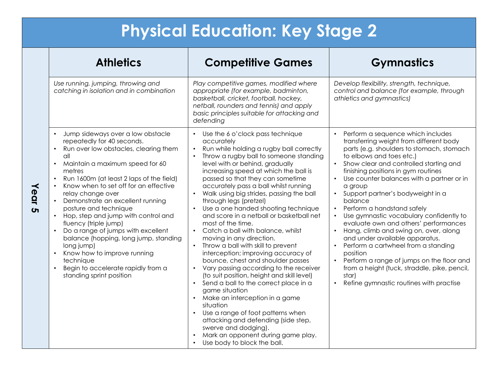|                      | <b>Athletics</b>                                                                                                                                                                                                                                                                                                                                                                                                                                                                                                                                                                                                                                                   | <b>Competitive Games</b>                                                                                                                                                                                                                                                                                                                                                                                                                                                                                                                                                                                                                                                                                                                                                                                                                                                                                                                                                                                                                                                                                                | <b>Gymnastics</b>                                                                                                                                                                                                                                                                                                                                                                                                                                                                                                                                                                                                                                                                                                                                                                                                |
|----------------------|--------------------------------------------------------------------------------------------------------------------------------------------------------------------------------------------------------------------------------------------------------------------------------------------------------------------------------------------------------------------------------------------------------------------------------------------------------------------------------------------------------------------------------------------------------------------------------------------------------------------------------------------------------------------|-------------------------------------------------------------------------------------------------------------------------------------------------------------------------------------------------------------------------------------------------------------------------------------------------------------------------------------------------------------------------------------------------------------------------------------------------------------------------------------------------------------------------------------------------------------------------------------------------------------------------------------------------------------------------------------------------------------------------------------------------------------------------------------------------------------------------------------------------------------------------------------------------------------------------------------------------------------------------------------------------------------------------------------------------------------------------------------------------------------------------|------------------------------------------------------------------------------------------------------------------------------------------------------------------------------------------------------------------------------------------------------------------------------------------------------------------------------------------------------------------------------------------------------------------------------------------------------------------------------------------------------------------------------------------------------------------------------------------------------------------------------------------------------------------------------------------------------------------------------------------------------------------------------------------------------------------|
|                      | Use running, jumping, throwing and<br>catching in isolation and in combination                                                                                                                                                                                                                                                                                                                                                                                                                                                                                                                                                                                     | Play competitive games, modified where<br>appropriate (for example, badminton,<br>basketball, cricket, football, hockey,<br>netball, rounders and tennis) and apply<br>basic principles suitable for attacking and<br>defending                                                                                                                                                                                                                                                                                                                                                                                                                                                                                                                                                                                                                                                                                                                                                                                                                                                                                         | Develop flexibility, strength, technique,<br>control and balance (for example, through<br>athletics and gymnastics)                                                                                                                                                                                                                                                                                                                                                                                                                                                                                                                                                                                                                                                                                              |
| ≺<br>ear<br>$\sigma$ | Jump sideways over a low obstacle<br>$\bullet$<br>repeatedly for 40 seconds.<br>Run over low obstacles, clearing them<br>all<br>Maintain a maximum speed for 60<br>metres<br>Run 1600m (at least 2 laps of the field)<br>$\bullet$<br>Know when to set off for an effective<br>relay change over<br>Demonstrate an excellent running<br>posture and technique<br>Hop, step and jump with control and<br>$\bullet$<br>fluency (triple jump)<br>Do a range of jumps with excellent<br>$\bullet$<br>balance (hopping, long jump, standing<br>long jump)<br>Know how to improve running<br>technique<br>Begin to accelerate rapidly from a<br>standing sprint position | Use the 6 o'clock pass technique<br>$\bullet$<br>accurately<br>Run while holding a rugby ball correctly<br>$\bullet$<br>Throw a rugby ball to someone standing<br>level with or behind, gradually<br>increasing speed at which the ball is<br>passed so that they can sometime<br>accurately pass a ball whilst running<br>Walk using big strides, passing the ball<br>through legs (pretzel)<br>Use a one handed shooting technique<br>and score in a netball or basketball net<br>most of the time.<br>Catch a ball with balance, whilst<br>$\bullet$<br>moving in any direction.<br>Throw a ball with skill to prevent<br>interception; improving accuracy of<br>bounce, chest and shoulder passes<br>Vary passing according to the receiver<br>(to suit position, height and skill level)<br>Send a ball to the correct place in a<br>$\bullet$<br>game situation<br>Make an interception in a game<br>$\bullet$<br>situation<br>Use a range of foot patterns when<br>attacking and defending (side step,<br>swerve and dodging).<br>Mark an opponent during game play.<br>Use body to block the ball.<br>$\bullet$ | Perform a sequence which includes<br>$\bullet$<br>transferring weight from different body<br>parts (e.g. shoulders to stomach, stomach<br>to elbows and toes etc.)<br>Show clear and controlled starting and<br>finishing positions in gym routines<br>Use counter balances with a partner or in<br>$\bullet$<br>a group<br>Support partner's bodyweight in a<br>balance<br>Perform a handstand safely<br>$\bullet$<br>Use gymnastic vocabulary confidently to<br>evaluate own and others' performances<br>Hang, climb and swing on, over, along<br>$\bullet$<br>and under available apparatus.<br>Perform a cartwheel from a standing<br>$\bullet$<br>position<br>Perform a range of jumps on the floor and<br>from a height (tuck, straddle, pike, pencil,<br>star)<br>Refine gymnastic routines with practise |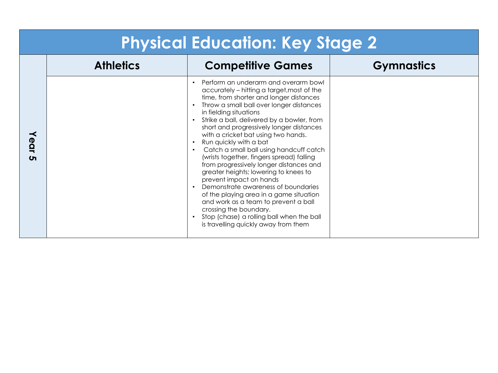| <b>Physical Education: Key Stage 2</b> |                  |                                                                                                                                                                                                                                                                                                                                                                                                                                                                                                                                                                                                                                                                                                                                                                                                                                          |                   |
|----------------------------------------|------------------|------------------------------------------------------------------------------------------------------------------------------------------------------------------------------------------------------------------------------------------------------------------------------------------------------------------------------------------------------------------------------------------------------------------------------------------------------------------------------------------------------------------------------------------------------------------------------------------------------------------------------------------------------------------------------------------------------------------------------------------------------------------------------------------------------------------------------------------|-------------------|
|                                        | <b>Athletics</b> | <b>Competitive Games</b>                                                                                                                                                                                                                                                                                                                                                                                                                                                                                                                                                                                                                                                                                                                                                                                                                 | <b>Gymnastics</b> |
| ≺<br><b>POI</b><br>$\sigma$            |                  | Perform an underarm and overarm bowl<br>accurately - hitting a target, most of the<br>time, from shorter and longer distances<br>Throw a small ball over longer distances<br>in fielding situations<br>Strike a ball, delivered by a bowler, from<br>$\bullet$<br>short and progressively longer distances<br>with a cricket bat using two hands.<br>Run quickly with a bat<br>Catch a small ball using handcuff catch<br>(wrists together, fingers spread) falling<br>from progressively longer distances and<br>greater heights; lowering to knees to<br>prevent impact on hands<br>Demonstrate awareness of boundaries<br>$\bullet$<br>of the playing area in a game situation<br>and work as a team to prevent a ball<br>crossing the boundary.<br>Stop (chase) a rolling ball when the ball<br>is travelling quickly away from them |                   |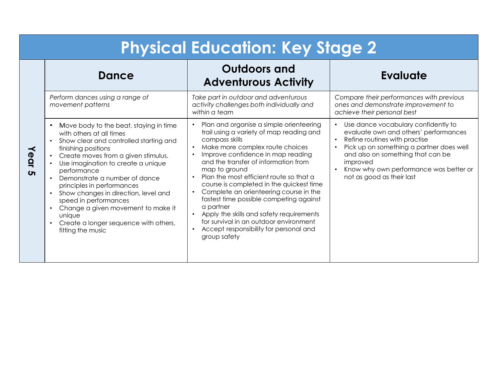| <b>Physical Education: Key Stage 2</b> |                                                                                                                                                                                                                                                                                                                                                                                                                                                                               |                                                                                                                                                                                                                                                                                                                                                                                                                                                                                                                                                                                                                                                  |                                                                                                                                                                                                                                                                                   |
|----------------------------------------|-------------------------------------------------------------------------------------------------------------------------------------------------------------------------------------------------------------------------------------------------------------------------------------------------------------------------------------------------------------------------------------------------------------------------------------------------------------------------------|--------------------------------------------------------------------------------------------------------------------------------------------------------------------------------------------------------------------------------------------------------------------------------------------------------------------------------------------------------------------------------------------------------------------------------------------------------------------------------------------------------------------------------------------------------------------------------------------------------------------------------------------------|-----------------------------------------------------------------------------------------------------------------------------------------------------------------------------------------------------------------------------------------------------------------------------------|
| Year<br>$\sigma$                       | Dance                                                                                                                                                                                                                                                                                                                                                                                                                                                                         | <b>Outdoors and</b><br><b>Adventurous Activity</b>                                                                                                                                                                                                                                                                                                                                                                                                                                                                                                                                                                                               | <b>Evaluate</b>                                                                                                                                                                                                                                                                   |
|                                        | Perform dances using a range of<br>movement patterns                                                                                                                                                                                                                                                                                                                                                                                                                          | Take part in outdoor and adventurous<br>activity challenges both individually and<br>within a team                                                                                                                                                                                                                                                                                                                                                                                                                                                                                                                                               | Compare their performances with previous<br>ones and demonstrate improvement to<br>achieve their personal best                                                                                                                                                                    |
|                                        | Move body to the beat, staying in time<br>with others at all times<br>Show clear and controlled starting and<br>finishing positions<br>Create moves from a given stimulus.<br>Use imagination to create a unique<br>performance<br>Demonstrate a number of dance<br>principles in performances<br>Show changes in direction, level and<br>speed in performances<br>Change a given movement to make it<br>unique<br>Create a longer sequence with others,<br>fitting the music | Plan and organise a simple orienteering<br>trail using a variety of map reading and<br>compass skills<br>Make more complex route choices<br>$\bullet$<br>Improve confidence in map reading<br>and the transfer of information from<br>map to ground<br>Plan the most efficient route so that a<br>$\bullet$<br>course is completed in the quickest time<br>Complete an orienteering course in the<br>$\bullet$<br>fastest time possible competing against<br>a partner<br>Apply the skills and safety requirements<br>$\bullet$<br>for survival in an outdoor environment<br>Accept responsibility for personal and<br>$\bullet$<br>group safety | Use dance vocabulary confidently to<br>evaluate own and others' performances<br>Refine routines with practise<br>Pick up on something a partner does well<br>and also on something that can be<br>improved<br>Know why own performance was better or<br>not as good as their last |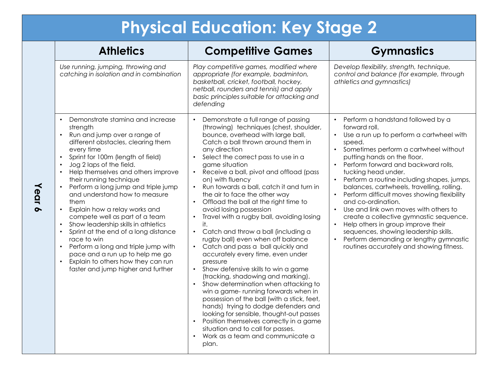| <b>Athletics</b>                                                                                                                                                                                                                                                                                                                                                                                                                                                                                                                                                                                                                                                                                                                                        | <b>Competitive Games</b>                                                                                                                                                                                                                                                                                                                                                                                                                                                                                                                                                                                                                                                                                                                                                                                                                                                                                                                                                                                                                                                                                                                                  | <b>Gymnastics</b>                                                                                                                                                                                                                                                                                                                                                                                                                                                                                                                                                                                                                                                                                                                           |
|---------------------------------------------------------------------------------------------------------------------------------------------------------------------------------------------------------------------------------------------------------------------------------------------------------------------------------------------------------------------------------------------------------------------------------------------------------------------------------------------------------------------------------------------------------------------------------------------------------------------------------------------------------------------------------------------------------------------------------------------------------|-----------------------------------------------------------------------------------------------------------------------------------------------------------------------------------------------------------------------------------------------------------------------------------------------------------------------------------------------------------------------------------------------------------------------------------------------------------------------------------------------------------------------------------------------------------------------------------------------------------------------------------------------------------------------------------------------------------------------------------------------------------------------------------------------------------------------------------------------------------------------------------------------------------------------------------------------------------------------------------------------------------------------------------------------------------------------------------------------------------------------------------------------------------|---------------------------------------------------------------------------------------------------------------------------------------------------------------------------------------------------------------------------------------------------------------------------------------------------------------------------------------------------------------------------------------------------------------------------------------------------------------------------------------------------------------------------------------------------------------------------------------------------------------------------------------------------------------------------------------------------------------------------------------------|
| Use running, jumping, throwing and<br>catching in isolation and in combination                                                                                                                                                                                                                                                                                                                                                                                                                                                                                                                                                                                                                                                                          | Play competitive games, modified where<br>appropriate (for example, badminton,<br>basketball, cricket, football, hockey,<br>netball, rounders and tennis) and apply<br>basic principles suitable for attacking and<br>defending                                                                                                                                                                                                                                                                                                                                                                                                                                                                                                                                                                                                                                                                                                                                                                                                                                                                                                                           | Develop flexibility, strength, technique,<br>control and balance (for example, through<br>athletics and gymnastics)                                                                                                                                                                                                                                                                                                                                                                                                                                                                                                                                                                                                                         |
| Demonstrate stamina and increase<br>$\bullet$<br>strength<br>Run and jump over a range of<br>$\bullet$<br>different obstacles, clearing them<br>every time<br>Sprint for 100m (length of field)<br>Jog 2 laps of the field.<br>Help themselves and others improve<br>$\bullet$<br>their running technique<br>Perform a long jump and triple jump<br>and understand how to measure<br>them<br>Explain how a relay works and<br>$\bullet$<br>compete well as part of a team<br>Show leadership skills in athletics<br>Sprint at the end of a long distance<br>race to win<br>Perform a long and triple jump with<br>$\bullet$<br>pace and a run up to help me go<br>Explain to others how they can run<br>$\bullet$<br>faster and jump higher and further | Demonstrate a full range of passing<br>(throwing) techniques (chest, shoulder,<br>bounce, overhead with large ball,<br>Catch a ball thrown around them in<br>any direction<br>Select the correct pass to use in a<br>game situation<br>Receive a ball, pivot and offload (pass<br>on) with fluency<br>Run towards a ball, catch it and turn in<br>the air to face the other way<br>Offload the ball at the right time to<br>avoid losing possession<br>Travel with a rugby ball, avoiding losing<br>$\bullet$<br>it.<br>Catch and throw a ball (including a<br>$\bullet$<br>rugby ball) even when off balance<br>Catch and pass a ball quickly and<br>accurately every time, even under<br>pressure<br>Show defensive skills to win a game<br>$\bullet$<br>(tracking, shadowing and marking).<br>Show determination when attacking to<br>$\bullet$<br>win a game-running forwards when in<br>possession of the ball (with a stick, feet,<br>hands) trying to dodge defenders and<br>looking for sensible, thought-out passes<br>Position themselves correctly in a game<br>situation and to call for passes.<br>Work as a team and communicate a<br>plan. | • Perform a handstand followed by a<br>forward roll.<br>Use a run up to perform a cartwheel with<br>$\bullet$<br>speed.<br>Sometimes perform a cartwheel without<br>putting hands on the floor.<br>Perform forward and backward rolls,<br>$\bullet$<br>tucking head under.<br>Perform a routine including shapes, jumps,<br>$\bullet$<br>balances, cartwheels, travelling, rolling.<br>Perform difficult moves showing flexibility<br>and co-ordination.<br>Use and link own moves with others to<br>$\bullet$<br>create a collective gymnastic sequence.<br>Help others in group improve their<br>$\bullet$<br>sequences, showing leadership skills.<br>Perform demanding or lengthy gymnastic<br>routines accurately and showing fitness. |

**Year 6**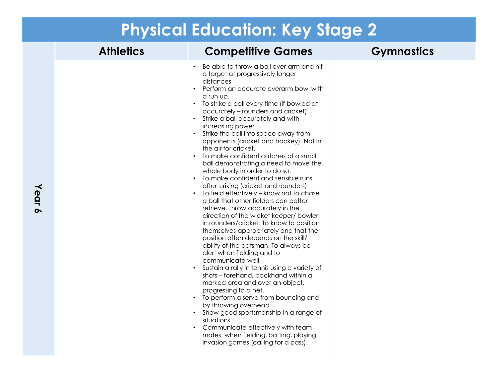|        |                  | <b>Physical Education: Key Stage 2</b>                                                                                                                                                                                                                                                                                                                                                                                                                                                                                                                                                                                                                                                                                                                                                                                                                                                                                                                                                                                                                                                                                                                                                                                                                                                                                                                                                                                                                                  |                   |
|--------|------------------|-------------------------------------------------------------------------------------------------------------------------------------------------------------------------------------------------------------------------------------------------------------------------------------------------------------------------------------------------------------------------------------------------------------------------------------------------------------------------------------------------------------------------------------------------------------------------------------------------------------------------------------------------------------------------------------------------------------------------------------------------------------------------------------------------------------------------------------------------------------------------------------------------------------------------------------------------------------------------------------------------------------------------------------------------------------------------------------------------------------------------------------------------------------------------------------------------------------------------------------------------------------------------------------------------------------------------------------------------------------------------------------------------------------------------------------------------------------------------|-------------------|
|        | <b>Athletics</b> | <b>Competitive Games</b>                                                                                                                                                                                                                                                                                                                                                                                                                                                                                                                                                                                                                                                                                                                                                                                                                                                                                                                                                                                                                                                                                                                                                                                                                                                                                                                                                                                                                                                | <b>Gymnastics</b> |
| Year 6 |                  | Be able to throw a ball over arm and hit<br>$\bullet$<br>a target at progressively longer<br>distances<br>Perform an accurate overarm bowl with<br>$\bullet$<br>a run up.<br>• To strike a ball every time (if bowled at<br>accurately - rounders and cricket).<br>• Strike a ball accurately and with<br>increasing power<br>• Strike the ball into space away from<br>opponents (cricket and hockey). Not in<br>the air for cricket.<br>• To make confident catches of a small<br>ball demonstrating a need to move the<br>whole body in order to do so.<br>• To make confident and sensible runs<br>after striking (cricket and rounders)<br>To field effectively - know not to chase<br>$\bullet$<br>a ball that other fielders can better<br>retrieve. Throw accurately in the<br>direction of the wicket keeper/ bowler<br>in rounders/cricket. To know to position<br>themselves appropriately and that the<br>position often depends on the skill/<br>ability of the batsman. To always be<br>alert when fielding and to<br>communicate well.<br>Sustain a rally in tennis using a variety of<br>$\bullet$<br>shots - forehand, backhand within a<br>marked area and over an object,<br>progressing to a net.<br>• To perform a serve from bouncing and<br>by throwing overhead<br>Show good sportsmanship in a range of<br>situations.<br>• Communicate effectively with team<br>mates when fielding, batting, playing<br>invasion games (calling for a pass). |                   |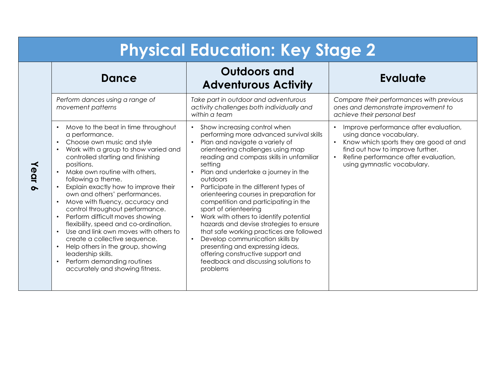| <b>Physical Education: Key Stage 2</b> |                                                                                                                                                                                                                                                                                                                                                                                                                                                                                                                                                                                                                                                                                                                                                      |                                                                                                                                                                                                                                                                                                                                                                                                                                                                                                                                                                                                                                                                                                                                           |                                                                                                                                                                                                                                    |
|----------------------------------------|------------------------------------------------------------------------------------------------------------------------------------------------------------------------------------------------------------------------------------------------------------------------------------------------------------------------------------------------------------------------------------------------------------------------------------------------------------------------------------------------------------------------------------------------------------------------------------------------------------------------------------------------------------------------------------------------------------------------------------------------------|-------------------------------------------------------------------------------------------------------------------------------------------------------------------------------------------------------------------------------------------------------------------------------------------------------------------------------------------------------------------------------------------------------------------------------------------------------------------------------------------------------------------------------------------------------------------------------------------------------------------------------------------------------------------------------------------------------------------------------------------|------------------------------------------------------------------------------------------------------------------------------------------------------------------------------------------------------------------------------------|
|                                        | <b>Dance</b>                                                                                                                                                                                                                                                                                                                                                                                                                                                                                                                                                                                                                                                                                                                                         | <b>Outdoors and</b><br><b>Adventurous Activity</b>                                                                                                                                                                                                                                                                                                                                                                                                                                                                                                                                                                                                                                                                                        | <b>Evaluate</b>                                                                                                                                                                                                                    |
|                                        | Perform dances using a range of<br>movement patterns                                                                                                                                                                                                                                                                                                                                                                                                                                                                                                                                                                                                                                                                                                 | Take part in outdoor and adventurous<br>activity challenges both individually and<br>within a team                                                                                                                                                                                                                                                                                                                                                                                                                                                                                                                                                                                                                                        | Compare their performances with previous<br>ones and demonstrate improvement to<br>achieve their personal best                                                                                                                     |
| ear                                    | Move to the beat in time throughout<br>a performance.<br>Choose own music and style<br>$\bullet$<br>Work with a group to show varied and<br>controlled starting and finishing<br>positions.<br>Make own routine with others,<br>following a theme.<br>Explain exactly how to improve their<br>own and others' performances.<br>Move with fluency, accuracy and<br>$\bullet$<br>control throughout performance.<br>Perform difficult moves showing<br>$\bullet$<br>flexibility, speed and co-ordination.<br>Use and link own moves with others to<br>$\bullet$<br>create a collective sequence.<br>Help others in the group, showing<br>$\bullet$<br>leadership skills.<br>Perform demanding routines<br>$\bullet$<br>accurately and showing fitness. | Show increasing control when<br>performing more advanced survival skills<br>Plan and navigate a variety of<br>orienteering challenges using map<br>reading and compass skills in unfamiliar<br>setting<br>Plan and undertake a journey in the<br>outdoors<br>Participate in the different types of<br>$\bullet$<br>orienteering courses in preparation for<br>competition and participating in the<br>sport of orienteering<br>Work with others to identify potential<br>hazards and devise strategies to ensure<br>that safe working practices are followed<br>Develop communication skills by<br>$\bullet$<br>presenting and expressing ideas,<br>offering constructive support and<br>feedback and discussing solutions to<br>problems | Improve performance after evaluation,<br>using dance vocabulary.<br>Know which sports they are good at and<br>find out how to improve further.<br>Refine performance after evaluation,<br>$\bullet$<br>using gymnastic vocabulary. |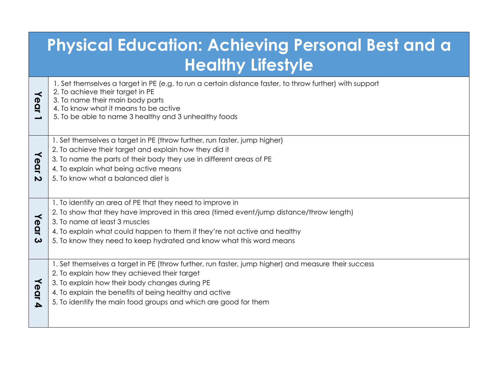| <b>Physical Education: Achieving Personal Best and a</b><br><b>Healthy Lifestyle</b> |                                                                                                                                                                                                                                                                                                                                            |  |  |
|--------------------------------------------------------------------------------------|--------------------------------------------------------------------------------------------------------------------------------------------------------------------------------------------------------------------------------------------------------------------------------------------------------------------------------------------|--|--|
| $\prec$<br>ear                                                                       | 1. Set themselves a target in PE (e.g. to run a certain distance faster, to throw further) with support<br>2. To achieve their target in PE<br>3. To name their main body parts<br>4. To know what it means to be active<br>5. To be able to name 3 healthy and 3 unhealthy foods                                                          |  |  |
| $\prec$<br>$\boldsymbol{\Phi}$<br>$\overline{\mathbf{Q}}$<br>$\overline{\mathbf{v}}$ | 1. Set themselves a target in PE (throw further, run faster, jump higher)<br>2. To achieve their target and explain how they did it<br>3. To name the parts of their body they use in different areas of PE<br>4. To explain what being active means<br>5. To know what a balanced diet is                                                 |  |  |
| $\prec$<br>ear<br>ω                                                                  | 1. To identify an area of PE that they need to improve in<br>2. To show that they have improved in this area (timed event/jump distance/throw length)<br>3. To name at least 3 muscles<br>4. To explain what could happen to them if they're not active and healthy<br>5. To know they need to keep hydrated and know what this word means |  |  |
| Year                                                                                 | 1. Set themselves a target in PE (throw further, run faster, jump higher) and measure their success<br>2. To explain how they achieved their target<br>3. To explain how their body changes during PE<br>4. To explain the benefits of being healthy and active<br>5. To identify the main food groups and which are good for them         |  |  |